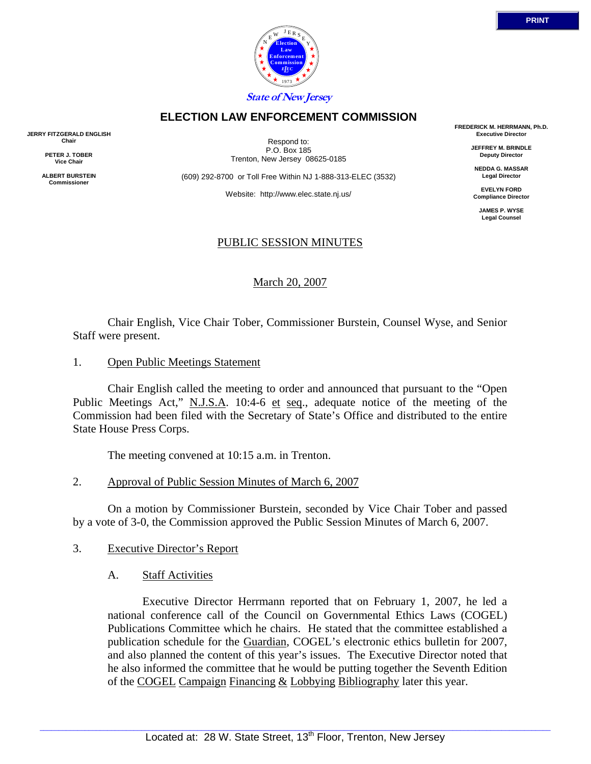

## **ELECTION LAW ENFORCEMENT COMMISSION**

**JERRY FITZGERALD ENGLISH Chair** 

> **PETER J. TOBER Vice Chair**

**ALBERT BURSTEIN Commissioner** 

Respond to: P.O. Box 185 Trenton, New Jersey 08625-0185

(609) 292-8700 or Toll Free Within NJ 1-888-313-ELEC (3532)

Website: http://www.elec.state.nj.us/

## PUBLIC SESSION MINUTES

March 20, 2007

 Chair English, Vice Chair Tober, Commissioner Burstein, Counsel Wyse, and Senior Staff were present.

1. Open Public Meetings Statement

 Chair English called the meeting to order and announced that pursuant to the "Open Public Meetings Act," N.J.S.A. 10:4-6 et seq., adequate notice of the meeting of the Commission had been filed with the Secretary of State's Office and distributed to the entire State House Press Corps.

The meeting convened at 10:15 a.m. in Trenton.

2. Approval of Public Session Minutes of March 6, 2007

 On a motion by Commissioner Burstein, seconded by Vice Chair Tober and passed by a vote of 3-0, the Commission approved the Public Session Minutes of March 6, 2007.

- 3. Executive Director's Report
	- A. Staff Activities

 Executive Director Herrmann reported that on February 1, 2007, he led a national conference call of the Council on Governmental Ethics Laws (COGEL) Publications Committee which he chairs. He stated that the committee established a publication schedule for the Guardian, COGEL's electronic ethics bulletin for 2007, and also planned the content of this year's issues. The Executive Director noted that he also informed the committee that he would be putting together the Seventh Edition of the COGEL Campaign Financing & Lobbying Bibliography later this year.

**FREDERICK M. HERRMANN, Ph.D. Executive Director** 

> **JEFFREY M. BRINDLE Deputy Director**

**NEDDA G. MASSAR Legal Director** 

**EVELYN FORD Compliance Director** 

> **JAMES P. WYSE Legal Counsel**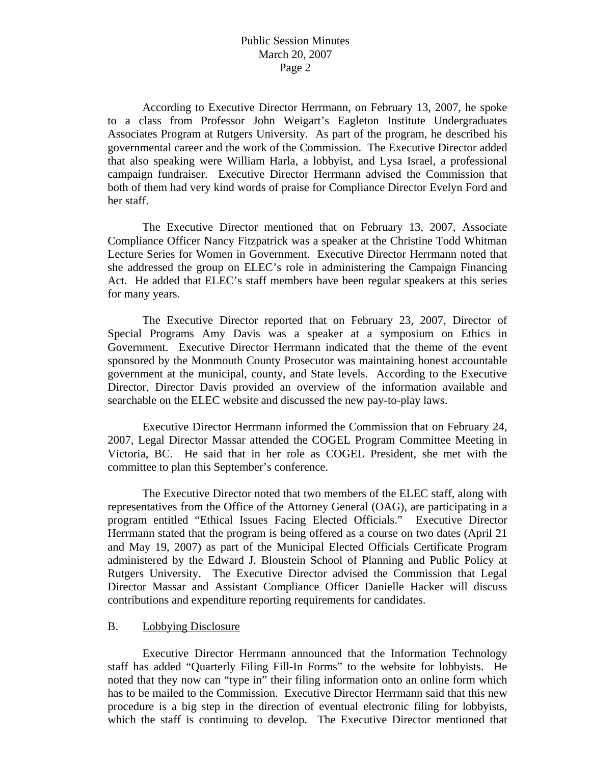According to Executive Director Herrmann, on February 13, 2007, he spoke to a class from Professor John Weigart's Eagleton Institute Undergraduates Associates Program at Rutgers University. As part of the program, he described his governmental career and the work of the Commission. The Executive Director added that also speaking were William Harla, a lobbyist, and Lysa Israel, a professional campaign fundraiser. Executive Director Herrmann advised the Commission that both of them had very kind words of praise for Compliance Director Evelyn Ford and her staff.

 The Executive Director mentioned that on February 13, 2007, Associate Compliance Officer Nancy Fitzpatrick was a speaker at the Christine Todd Whitman Lecture Series for Women in Government. Executive Director Herrmann noted that she addressed the group on ELEC's role in administering the Campaign Financing Act. He added that ELEC's staff members have been regular speakers at this series for many years.

 The Executive Director reported that on February 23, 2007, Director of Special Programs Amy Davis was a speaker at a symposium on Ethics in Government. Executive Director Herrmann indicated that the theme of the event sponsored by the Monmouth County Prosecutor was maintaining honest accountable government at the municipal, county, and State levels. According to the Executive Director, Director Davis provided an overview of the information available and searchable on the ELEC website and discussed the new pay-to-play laws.

 Executive Director Herrmann informed the Commission that on February 24, 2007, Legal Director Massar attended the COGEL Program Committee Meeting in Victoria, BC. He said that in her role as COGEL President, she met with the committee to plan this September's conference.

 The Executive Director noted that two members of the ELEC staff, along with representatives from the Office of the Attorney General (OAG), are participating in a program entitled "Ethical Issues Facing Elected Officials." Executive Director Herrmann stated that the program is being offered as a course on two dates (April 21 and May 19, 2007) as part of the Municipal Elected Officials Certificate Program administered by the Edward J. Bloustein School of Planning and Public Policy at Rutgers University. The Executive Director advised the Commission that Legal Director Massar and Assistant Compliance Officer Danielle Hacker will discuss contributions and expenditure reporting requirements for candidates.

#### B. Lobbying Disclosure

 Executive Director Herrmann announced that the Information Technology staff has added "Quarterly Filing Fill-In Forms" to the website for lobbyists. He noted that they now can "type in" their filing information onto an online form which has to be mailed to the Commission. Executive Director Herrmann said that this new procedure is a big step in the direction of eventual electronic filing for lobbyists, which the staff is continuing to develop. The Executive Director mentioned that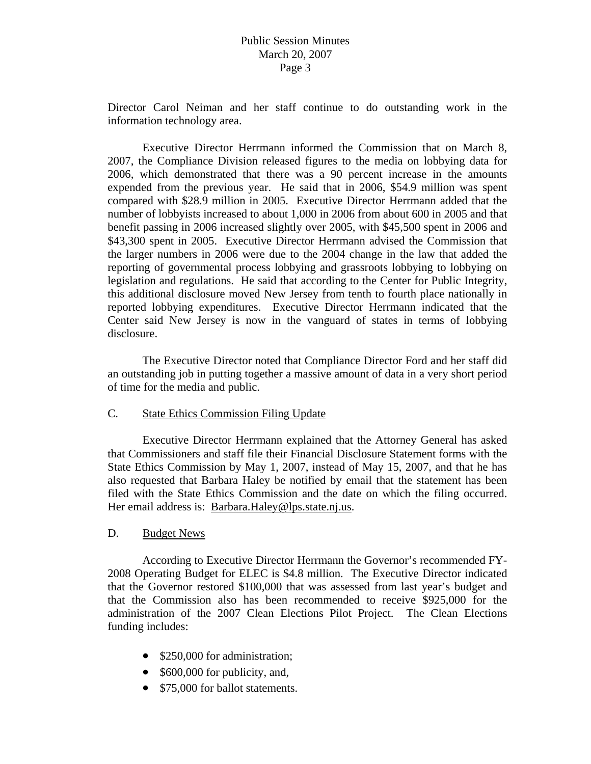Director Carol Neiman and her staff continue to do outstanding work in the information technology area.

 Executive Director Herrmann informed the Commission that on March 8, 2007, the Compliance Division released figures to the media on lobbying data for 2006, which demonstrated that there was a 90 percent increase in the amounts expended from the previous year. He said that in 2006, \$54.9 million was spent compared with \$28.9 million in 2005. Executive Director Herrmann added that the number of lobbyists increased to about 1,000 in 2006 from about 600 in 2005 and that benefit passing in 2006 increased slightly over 2005, with \$45,500 spent in 2006 and \$43,300 spent in 2005. Executive Director Herrmann advised the Commission that the larger numbers in 2006 were due to the 2004 change in the law that added the reporting of governmental process lobbying and grassroots lobbying to lobbying on legislation and regulations. He said that according to the Center for Public Integrity, this additional disclosure moved New Jersey from tenth to fourth place nationally in reported lobbying expenditures. Executive Director Herrmann indicated that the Center said New Jersey is now in the vanguard of states in terms of lobbying disclosure.

 The Executive Director noted that Compliance Director Ford and her staff did an outstanding job in putting together a massive amount of data in a very short period of time for the media and public.

## C. State Ethics Commission Filing Update

 Executive Director Herrmann explained that the Attorney General has asked that Commissioners and staff file their Financial Disclosure Statement forms with the State Ethics Commission by May 1, 2007, instead of May 15, 2007, and that he has also requested that Barbara Haley be notified by email that the statement has been filed with the State Ethics Commission and the date on which the filing occurred. Her email address is: Barbara.Haley@lps.state.nj.us.

#### D. Budget News

 According to Executive Director Herrmann the Governor's recommended FY-2008 Operating Budget for ELEC is \$4.8 million. The Executive Director indicated that the Governor restored \$100,000 that was assessed from last year's budget and that the Commission also has been recommended to receive \$925,000 for the administration of the 2007 Clean Elections Pilot Project. The Clean Elections funding includes:

- \$250,000 for administration;
- \$600,000 for publicity, and,
- \$75,000 for ballot statements.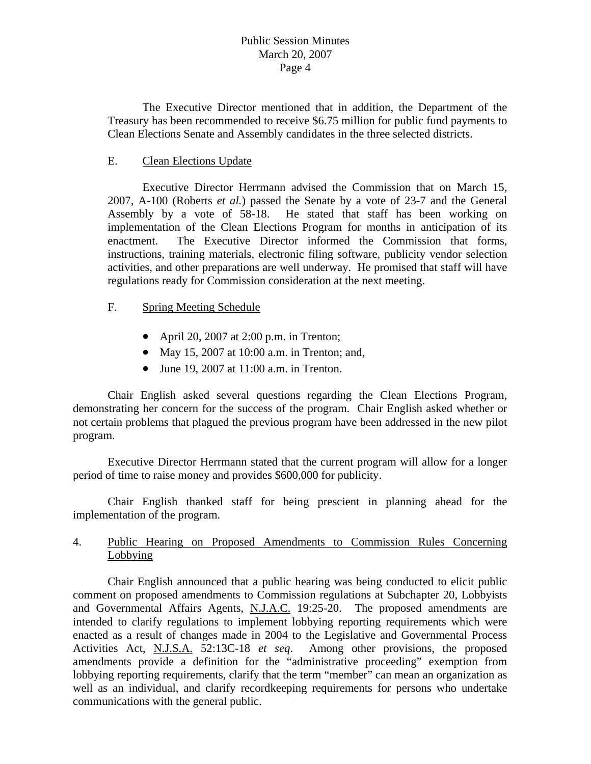The Executive Director mentioned that in addition, the Department of the Treasury has been recommended to receive \$6.75 million for public fund payments to Clean Elections Senate and Assembly candidates in the three selected districts.

## E. Clean Elections Update

 Executive Director Herrmann advised the Commission that on March 15, 2007, A-100 (Roberts *et al.*) passed the Senate by a vote of 23-7 and the General Assembly by a vote of 58-18. He stated that staff has been working on implementation of the Clean Elections Program for months in anticipation of its enactment. The Executive Director informed the Commission that forms, instructions, training materials, electronic filing software, publicity vendor selection activities, and other preparations are well underway. He promised that staff will have regulations ready for Commission consideration at the next meeting.

### F. Spring Meeting Schedule

- April 20, 2007 at 2:00 p.m. in Trenton;
- May 15, 2007 at 10:00 a.m. in Trenton; and,
- June 19, 2007 at 11:00 a.m. in Trenton.

 Chair English asked several questions regarding the Clean Elections Program, demonstrating her concern for the success of the program. Chair English asked whether or not certain problems that plagued the previous program have been addressed in the new pilot program.

 Executive Director Herrmann stated that the current program will allow for a longer period of time to raise money and provides \$600,000 for publicity.

 Chair English thanked staff for being prescient in planning ahead for the implementation of the program.

# 4. Public Hearing on Proposed Amendments to Commission Rules Concerning **Lobbying**

 Chair English announced that a public hearing was being conducted to elicit public comment on proposed amendments to Commission regulations at Subchapter 20, Lobbyists and Governmental Affairs Agents, N.J.A.C. 19:25-20. The proposed amendments are intended to clarify regulations to implement lobbying reporting requirements which were enacted as a result of changes made in 2004 to the Legislative and Governmental Process Activities Act, N.J.S.A. 52:13C-18 *et seq*. Among other provisions, the proposed amendments provide a definition for the "administrative proceeding" exemption from lobbying reporting requirements, clarify that the term "member" can mean an organization as well as an individual, and clarify recordkeeping requirements for persons who undertake communications with the general public.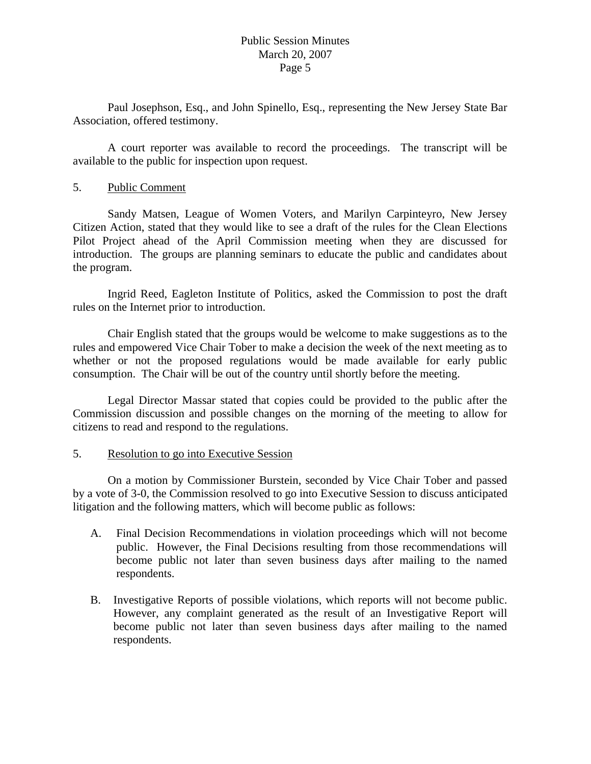Paul Josephson, Esq., and John Spinello, Esq., representing the New Jersey State Bar Association, offered testimony.

 A court reporter was available to record the proceedings. The transcript will be available to the public for inspection upon request.

#### 5. Public Comment

 Sandy Matsen, League of Women Voters, and Marilyn Carpinteyro, New Jersey Citizen Action, stated that they would like to see a draft of the rules for the Clean Elections Pilot Project ahead of the April Commission meeting when they are discussed for introduction. The groups are planning seminars to educate the public and candidates about the program.

 Ingrid Reed, Eagleton Institute of Politics, asked the Commission to post the draft rules on the Internet prior to introduction.

 Chair English stated that the groups would be welcome to make suggestions as to the rules and empowered Vice Chair Tober to make a decision the week of the next meeting as to whether or not the proposed regulations would be made available for early public consumption. The Chair will be out of the country until shortly before the meeting.

 Legal Director Massar stated that copies could be provided to the public after the Commission discussion and possible changes on the morning of the meeting to allow for citizens to read and respond to the regulations.

### 5. Resolution to go into Executive Session

 On a motion by Commissioner Burstein, seconded by Vice Chair Tober and passed by a vote of 3-0, the Commission resolved to go into Executive Session to discuss anticipated litigation and the following matters, which will become public as follows:

- A. Final Decision Recommendations in violation proceedings which will not become public. However, the Final Decisions resulting from those recommendations will become public not later than seven business days after mailing to the named respondents.
- B. Investigative Reports of possible violations, which reports will not become public. However, any complaint generated as the result of an Investigative Report will become public not later than seven business days after mailing to the named respondents.